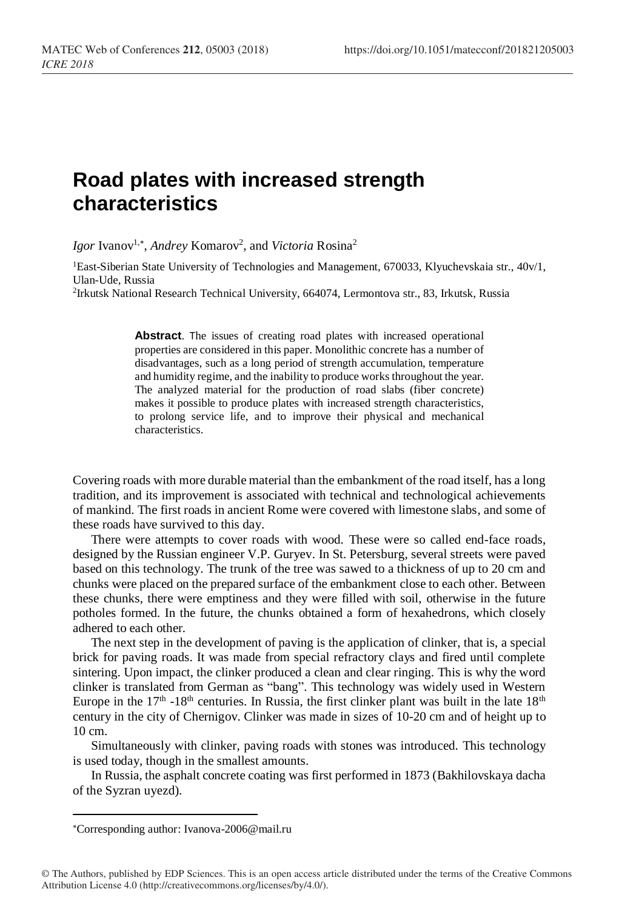## **Road plates with increased strength characteristics**

Igor Ivanov<sup>1,\*</sup>, *Andrey* Komarov<sup>2</sup>, and *Victoria* Rosina<sup>2</sup>

<sup>1</sup>East-Siberian State University of Technologies and Management, 670033, Klyuchevskaia str., 40v/1, Ulan-Ude, Russia

2 Irkutsk National Research Technical University, 664074, Lermontova str., 83, Irkutsk, Russia

**Abstract**. The issues of creating road plates with increased operational properties are considered in this paper. Monolithic concrete has a number of disadvantages, such as a long period of strength accumulation, temperature and humidity regime, and the inability to produce works throughout the year. The analyzed material for the production of road slabs (fiber concrete) makes it possible to produce plates with increased strength characteristics, to prolong service life, and to improve their physical and mechanical characteristics.

Covering roads with more durable material than the embankment of the road itself, has a long tradition, and its improvement is associated with technical and technological achievements of mankind. The first roads in ancient Rome were covered with limestone slabs, and some of these roads have survived to this day.

There were attempts to cover roads with wood. These were so called end-face roads, designed by the Russian engineer V.P. Guryev. In St. Petersburg, several streets were paved based on this technology. The trunk of the tree was sawed to a thickness of up to 20 cm and chunks were placed on the prepared surface of the embankment close to each other. Between these chunks, there were emptiness and they were filled with soil, otherwise in the future potholes formed. In the future, the chunks obtained a form of hexahedrons, which closely adhered to each other.

The next step in the development of paving is the application of clinker, that is, a special brick for paving roads. It was made from special refractory clays and fired until complete sintering. Upon impact, the clinker produced a clean and clear ringing. This is why the word clinker is translated from German as "bang". This technology was widely used in Western Europe in the  $17<sup>th</sup>$  -18<sup>th</sup> centuries. In Russia, the first clinker plant was built in the late  $18<sup>th</sup>$ century in the city of Chernigov. Clinker was made in sizes of 10-20 cm and of height up to 10 cm.

Simultaneously with clinker, paving roads with stones was introduced. This technology is used today, though in the smallest amounts.

In Russia, the asphalt concrete coating was first performed in 1873 (Bakhilovskaya dacha of the Syzran uyezd).

l

Corresponding author[: Ivanova-2006@mail.ru](mailto:Ivanova-2006@mail.ru)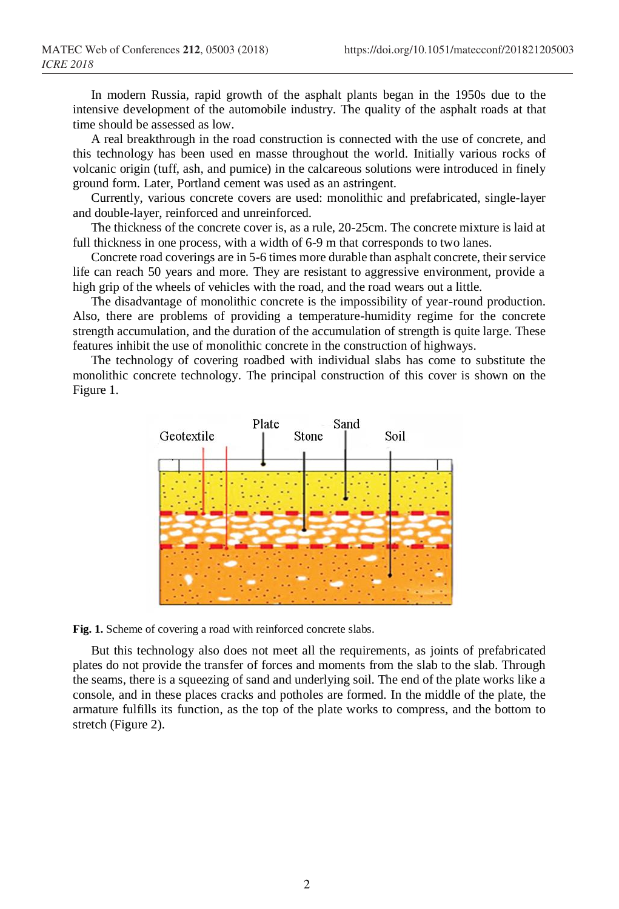In modern Russia, rapid growth of the asphalt plants began in the 1950s due to the intensive development of the automobile industry. The quality of the asphalt roads at that time should be assessed as low.

A real breakthrough in the road construction is connected with the use of concrete, and this technology has been used en masse throughout the world. Initially various rocks of volcanic origin (tuff, ash, and pumice) in the calcareous solutions were introduced in finely ground form. Later, Portland cement was used as an astringent.

Currently, various concrete covers are used: monolithic and prefabricated, single-layer and double-layer, reinforced and unreinforced.

The thickness of the concrete cover is, as a rule, 20-25cm. The concrete mixture is laid at full thickness in one process, with a width of 6-9 m that corresponds to two lanes.

Concrete road coverings are in 5-6 times more durable than asphalt concrete, their service life can reach 50 years and more. They are resistant to aggressive environment, provide a high grip of the wheels of vehicles with the road, and the road wears out a little.

The disadvantage of monolithic concrete is the impossibility of year-round production. Also, there are problems of providing a temperature-humidity regime for the concrete strength accumulation, and the duration of the accumulation of strength is quite large. These features inhibit the use of monolithic concrete in the construction of highways.

The technology of covering roadbed with individual slabs has come to substitute the monolithic concrete technology. The principal construction of this cover is shown on the Figure 1.



**Fig. 1.** Scheme of covering a road with reinforced concrete slabs.

But this technology also does not meet all the requirements, as joints of prefabricated plates do not provide the transfer of forces and moments from the slab to the slab. Through the seams, there is a squeezing of sand and underlying soil. The end of the plate works like a console, and in these places cracks and potholes are formed. In the middle of the plate, the armature fulfills its function, as the top of the plate works to compress, and the bottom to stretch (Figure 2).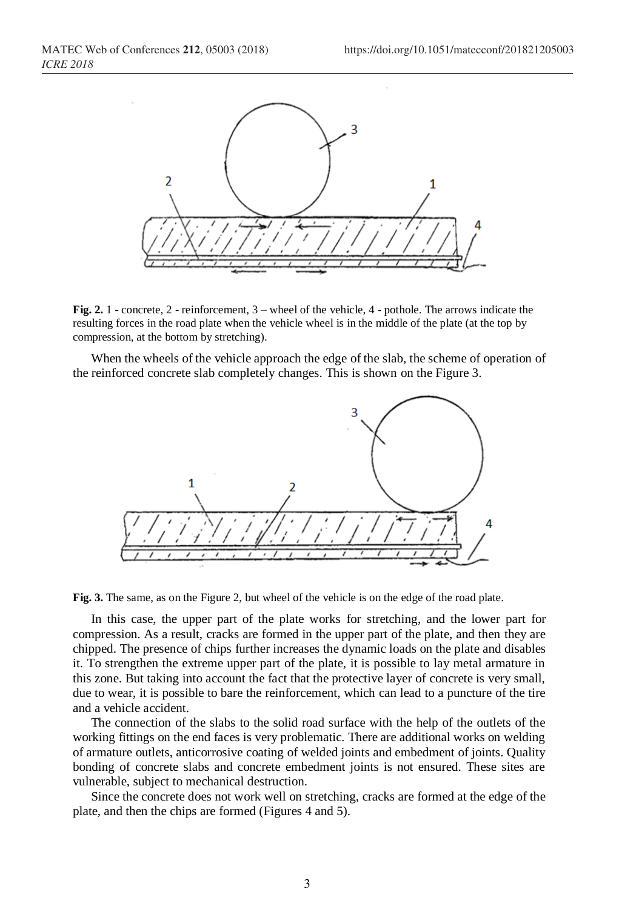

**Fig. 2.** 1 - concrete, 2 - reinforcement, 3 – wheel of the vehicle, 4 - pothole. The arrows indicate the resulting forces in the road plate when the vehicle wheel is in the middle of the plate (at the top by compression, at the bottom by stretching).

When the wheels of the vehicle approach the edge of the slab, the scheme of operation of the reinforced concrete slab completely changes. This is shown on the Figure 3.



**Fig. 3.** The same, as on the Figure 2, but wheel of the vehicle is on the edge of the road plate.

In this case, the upper part of the plate works for stretching, and the lower part for compression. As a result, cracks are formed in the upper part of the plate, and then they are chipped. The presence of chips further increases the dynamic loads on the plate and disables it. To strengthen the extreme upper part of the plate, it is possible to lay metal armature in this zone. But taking into account the fact that the protective layer of concrete is very small, due to wear, it is possible to bare the reinforcement, which can lead to a puncture of the tire and a vehicle accident.

The connection of the slabs to the solid road surface with the help of the outlets of the working fittings on the end faces is very problematic. There are additional works on welding of armature outlets, anticorrosive coating of welded joints and embedment of joints. Quality bonding of concrete slabs and concrete embedment joints is not ensured. These sites are vulnerable, subject to mechanical destruction.

Since the concrete does not work well on stretching, cracks are formed at the edge of the plate, and then the chips are formed (Figures 4 and 5).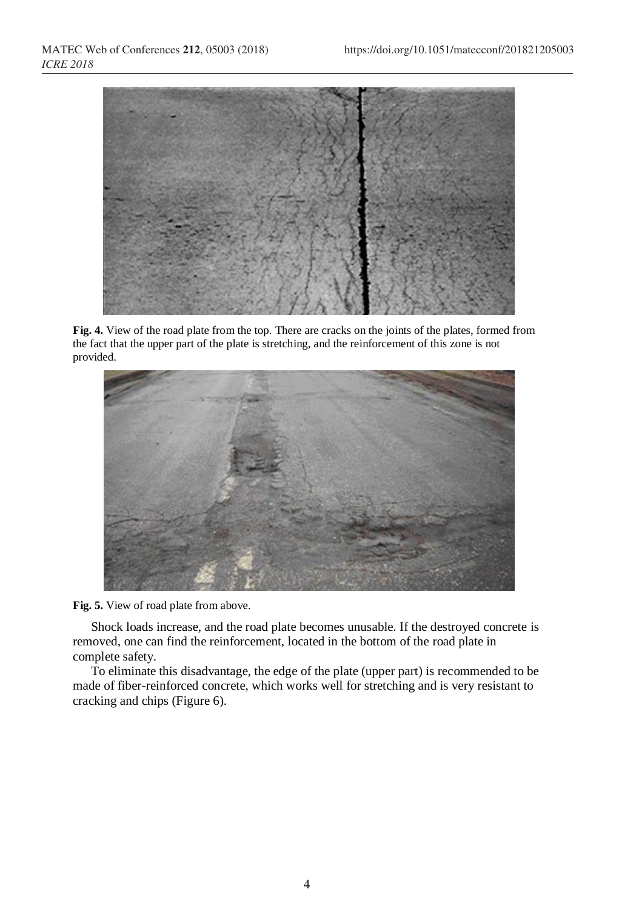

**Fig. 4.** View of the road plate from the top. There are cracks on the joints of the plates, formed from the fact that the upper part of the plate is stretching, and the reinforcement of this zone is not provided.





Shock loads increase, and the road plate becomes unusable. If the destroyed concrete is removed, one can find the reinforcement, located in the bottom of the road plate in complete safety.

To eliminate this disadvantage, the edge of the plate (upper part) is recommended to be made of fiber-reinforced concrete, which works well for stretching and is very resistant to cracking and chips (Figure 6).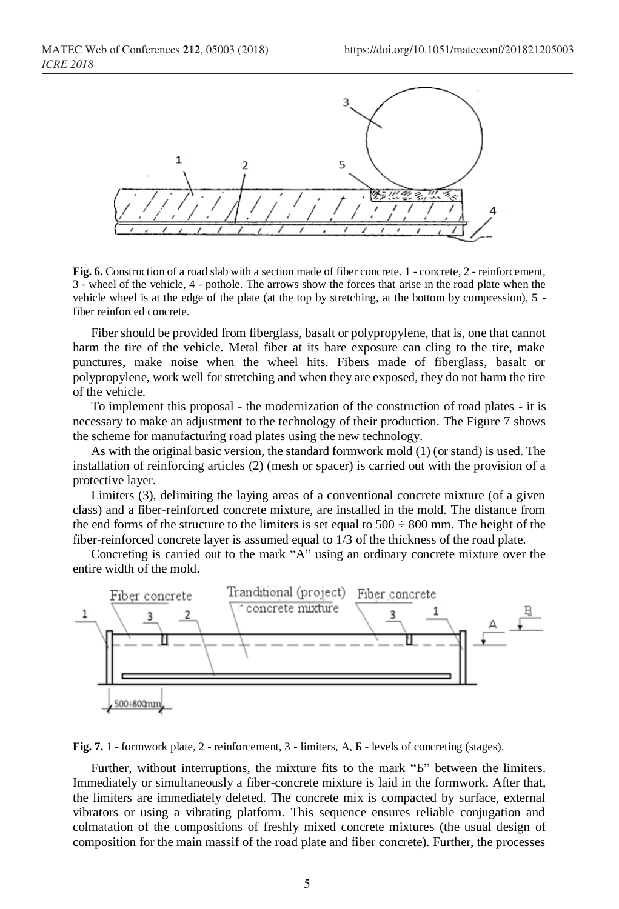

**Fig. 6.** Construction of a road slab with a section made of fiber concrete. 1 - concrete, 2 - reinforcement, 3 - wheel of the vehicle, 4 - pothole. The arrows show the forces that arise in the road plate when the vehicle wheel is at the edge of the plate (at the top by stretching, at the bottom by compression), 5 fiber reinforced concrete.

Fiber should be provided from fiberglass, basalt or polypropylene, that is, one that cannot harm the tire of the vehicle. Metal fiber at its bare exposure can cling to the tire, make punctures, make noise when the wheel hits. Fibers made of fiberglass, basalt or polypropylene, work well for stretching and when they are exposed, they do not harm the tire of the vehicle.

To implement this proposal - the modernization of the construction of road plates - it is necessary to make an adjustment to the technology of their production. The Figure 7 shows the scheme for manufacturing road plates using the new technology.

As with the original basic version, the standard formwork mold (1) (or stand) is used. The installation of reinforcing articles (2) (mesh or spacer) is carried out with the provision of a protective layer.

Limiters (3), delimiting the laying areas of a conventional concrete mixture (of a given class) and a fiber-reinforced concrete mixture, are installed in the mold. The distance from the end forms of the structure to the limiters is set equal to  $500 \div 800$  mm. The height of the fiber-reinforced concrete layer is assumed equal to 1/3 of the thickness of the road plate.

Concreting is carried out to the mark "A" using an ordinary concrete mixture over the entire width of the mold.



**Fig. 7.** 1 - formwork plate, 2 - reinforcement, 3 - limiters, A, Б - levels of concreting (stages).

Further, without interruptions, the mixture fits to the mark "Б" between the limiters. Immediately or simultaneously a fiber-concrete mixture is laid in the formwork. After that, the limiters are immediately deleted. The concrete mix is compacted by surface, external vibrators or using a vibrating platform. This sequence ensures reliable conjugation and colmatation of the compositions of freshly mixed concrete mixtures (the usual design of composition for the main massif of the road plate and fiber concrete). Further, the processes